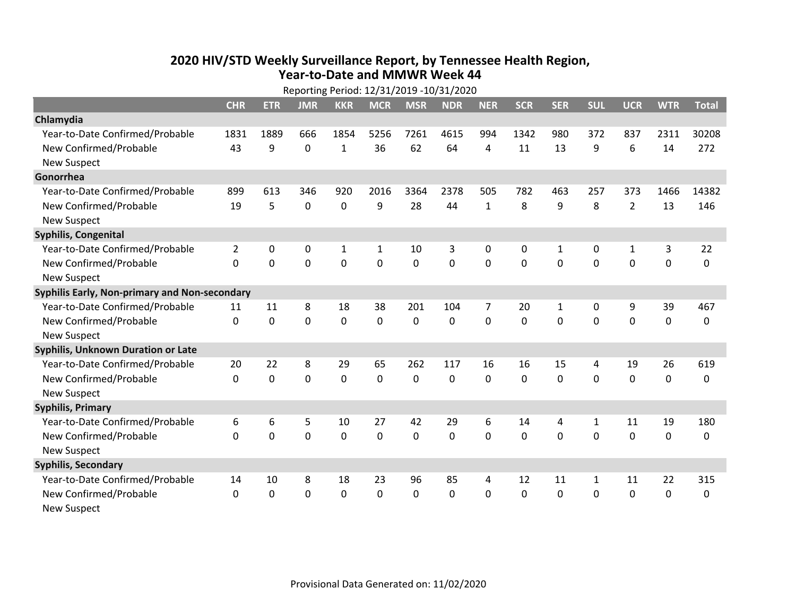## **2020 HIV /STD Weekly Surveillance Report, by Tennessee Health Region, Year‐to‐Date and MMWR Week 44** Reporting Period: 12/31/2019 ‐10/31/2020

|                                               | Reporting Period: 12/31/2019 -10/31/2020 |             |             |              |              |              |            |                |            |             |             |                |             |              |
|-----------------------------------------------|------------------------------------------|-------------|-------------|--------------|--------------|--------------|------------|----------------|------------|-------------|-------------|----------------|-------------|--------------|
|                                               | <b>CHR</b>                               | <b>ETR</b>  | <b>JMR</b>  | <b>KKR</b>   | <b>MCR</b>   | <b>MSR</b>   | <b>NDR</b> | <b>NER</b>     | <b>SCR</b> | <b>SER</b>  | <b>SUL</b>  | <b>UCR</b>     | <b>WTR</b>  | <b>Total</b> |
| Chlamydia                                     |                                          |             |             |              |              |              |            |                |            |             |             |                |             |              |
| Year-to-Date Confirmed/Probable               | 1831                                     | 1889        | 666         | 1854         | 5256         | 7261         | 4615       | 994            | 1342       | 980         | 372         | 837            | 2311        | 30208        |
| New Confirmed/Probable                        | 43                                       | 9           | 0           | 1            | 36           | 62           | 64         | 4              | 11         | 13          | 9           | 6              | 14          | 272          |
| <b>New Suspect</b>                            |                                          |             |             |              |              |              |            |                |            |             |             |                |             |              |
| Gonorrhea                                     |                                          |             |             |              |              |              |            |                |            |             |             |                |             |              |
| Year-to-Date Confirmed/Probable               | 899                                      | 613         | 346         | 920          | 2016         | 3364         | 2378       | 505            | 782        | 463         | 257         | 373            | 1466        | 14382        |
| New Confirmed/Probable                        | 19                                       | 5           | 0           | 0            | 9            | 28           | 44         | 1              | 8          | 9           | 8           | $\overline{2}$ | 13          | 146          |
| <b>New Suspect</b>                            |                                          |             |             |              |              |              |            |                |            |             |             |                |             |              |
| Syphilis, Congenital                          |                                          |             |             |              |              |              |            |                |            |             |             |                |             |              |
| Year-to-Date Confirmed/Probable               | $\overline{2}$                           | 0           | 0           | $\mathbf{1}$ | 1            | 10           | 3          | 0              | 0          | 1           | 0           | $\mathbf{1}$   | 3           | 22           |
| New Confirmed/Probable                        | $\Omega$                                 | $\mathbf 0$ | $\mathbf 0$ | 0            | 0            | 0            | 0          | 0              | 0          | $\mathbf 0$ | 0           | 0              | $\mathbf 0$ | 0            |
| <b>New Suspect</b>                            |                                          |             |             |              |              |              |            |                |            |             |             |                |             |              |
| Syphilis Early, Non-primary and Non-secondary |                                          |             |             |              |              |              |            |                |            |             |             |                |             |              |
| Year-to-Date Confirmed/Probable               | 11                                       | 11          | 8           | 18           | 38           | 201          | 104        | $\overline{7}$ | 20         | 1           | 0           | 9              | 39          | 467          |
| New Confirmed/Probable                        | $\Omega$                                 | $\mathbf 0$ | $\mathbf 0$ | 0            | $\Omega$     | $\Omega$     | $\Omega$   | $\Omega$       | $\Omega$   | $\Omega$    | 0           | 0              | $\mathbf 0$ | 0            |
| <b>New Suspect</b>                            |                                          |             |             |              |              |              |            |                |            |             |             |                |             |              |
| <b>Syphilis, Unknown Duration or Late</b>     |                                          |             |             |              |              |              |            |                |            |             |             |                |             |              |
| Year-to-Date Confirmed/Probable               | 20                                       | 22          | 8           | 29           | 65           | 262          | 117        | 16             | 16         | 15          | 4           | 19             | 26          | 619          |
| New Confirmed/Probable                        | $\Omega$                                 | $\mathbf 0$ | $\mathbf 0$ | 0            | $\Omega$     | 0            | $\Omega$   | $\Omega$       | $\Omega$   | $\Omega$    | 0           | 0              | $\mathbf 0$ | 0            |
| <b>New Suspect</b>                            |                                          |             |             |              |              |              |            |                |            |             |             |                |             |              |
| <b>Syphilis, Primary</b>                      |                                          |             |             |              |              |              |            |                |            |             |             |                |             |              |
| Year-to-Date Confirmed/Probable               | 6                                        | 6           | 5           | 10           | 27           | 42           | 29         | 6              | 14         | 4           | 1           | 11             | 19          | 180          |
| New Confirmed/Probable                        | $\Omega$                                 | 0           | $\mathbf 0$ | 0            | $\mathbf{0}$ | $\mathbf{0}$ | $\Omega$   | $\Omega$       | $\Omega$   | $\mathbf 0$ | $\Omega$    | 0              | $\mathbf 0$ | 0            |
| <b>New Suspect</b>                            |                                          |             |             |              |              |              |            |                |            |             |             |                |             |              |
| <b>Syphilis, Secondary</b>                    |                                          |             |             |              |              |              |            |                |            |             |             |                |             |              |
| Year-to-Date Confirmed/Probable               | 14                                       | 10          | 8           | 18           | 23           | 96           | 85         | 4              | 12         | 11          | 1           | 11             | 22          | 315          |
| New Confirmed/Probable                        | $\Omega$                                 | $\mathbf 0$ | $\mathbf 0$ | 0            | 0            | 0            | 0          | $\Omega$       | 0          | 0           | $\mathbf 0$ | 0              | $\mathbf 0$ | 0            |
| <b>New Suspect</b>                            |                                          |             |             |              |              |              |            |                |            |             |             |                |             |              |